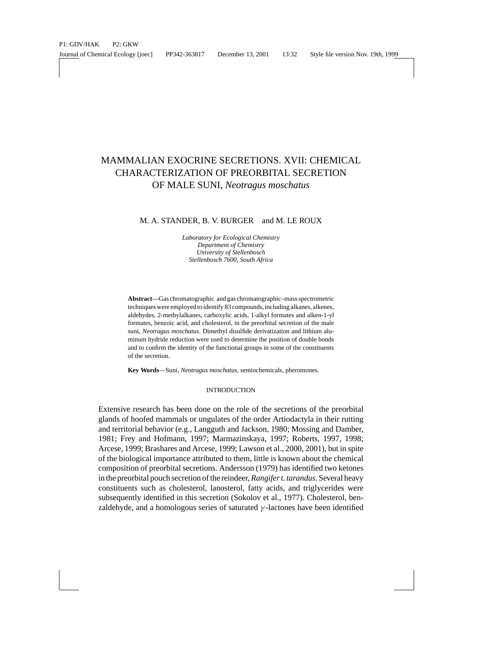# MAMMALIAN EXOCRINE SECRETIONS. XVII: CHEMICAL CHARACTERIZATION OF PREORBITAL SECRETION OF MALE SUNI, *Neotragus moschatus*

## M. A. STANDER, B. V. BURGER and M. LE ROUX

*Laboratory for Ecological Chemistry Department of Chemistry University of Stellenbosch Stellenbosch 7600, South Africa*

**Abstract**—Gas chromatographic and gas chromatographic–mass spectrometric techniques were employed to identify 83 compounds, including alkanes, alkenes, aldehydes, 2-methylalkanes, carboxylic acids, 1-alkyl formates and alken-1-yl formates, benzoic acid, and cholesterol, in the preorbital secretion of the male suni, *Neotragus moschatus*. Dimethyl disulfide derivatization and lithium aluminum hydride reduction were used to determine the position of double bonds and to confirm the identity of the functional groups in some of the constituents of the secretion.

**Key Words**—Suni, *Neotragus moschatus*, semiochemicals, pheromones.

#### **INTRODUCTION**

Extensive research has been done on the role of the secretions of the preorbital glands of hoofed mammals or ungulates of the order Artiodactyla in their rutting and territorial behavior (e.g., Langguth and Jackson, 1980; Mossing and Damber, 1981; Frey and Hofmann, 1997; Marmazinskaya, 1997; Roberts, 1997, 1998; Arcese, 1999; Brashares and Arcese, 1999; Lawson et al., 2000, 2001), but in spite of the biological importance attributed to them, little is known about the chemical composition of preorbital secretions. Andersson (1979) has identified two ketones in the preorbital pouch secretion of the reindeer,*Rangifer t. tarandus*. Several heavy constituents such as cholesterol, lanosterol, fatty acids, and triglycerides were subsequently identified in this secretion (Sokolov et al., 1977). Cholesterol, benzaldehyde, and a homologous series of saturated  $\gamma$ -lactones have been identified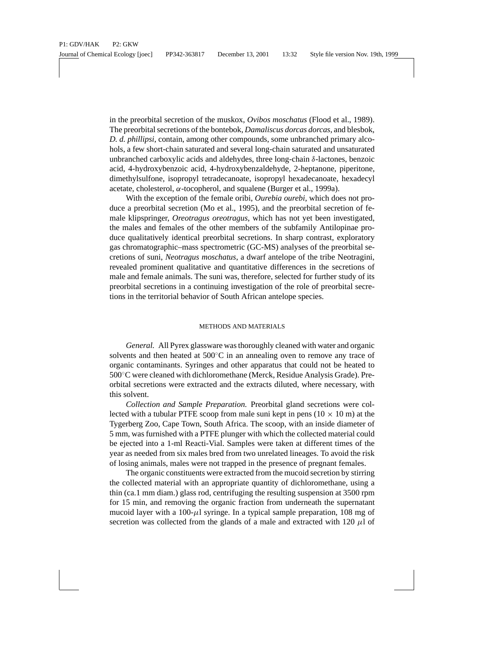in the preorbital secretion of the muskox, *Ovibos moschatus* (Flood et al., 1989). The preorbital secretions of the bontebok, *Damaliscus dorcas dorcas*, and blesbok, *D. d. phillipsi*, contain, among other compounds, some unbranched primary alcohols, a few short-chain saturated and several long-chain saturated and unsaturated unbranched carboxylic acids and aldehydes, three long-chain  $\delta$ -lactones, benzoic acid, 4-hydroxybenzoic acid, 4-hydroxybenzaldehyde, 2-heptanone, piperitone, dimethylsulfone, isopropyl tetradecanoate, isopropyl hexadecanoate, hexadecyl acetate, cholesterol,  $\alpha$ -tocopherol, and squalene (Burger et al., 1999a).

With the exception of the female oribi, *Ourebia ourebi*, which does not produce a preorbital secretion (Mo et al., 1995), and the preorbital secretion of female klipspringer, *Oreotragus oreotragus*, which has not yet been investigated, the males and females of the other members of the subfamily Antilopinae produce qualitatively identical preorbital secretions. In sharp contrast, exploratory gas chromatographic–mass spectrometric (GC-MS) analyses of the preorbital secretions of suni, *Neotragus moschatus*, a dwarf antelope of the tribe Neotragini, revealed prominent qualitative and quantitative differences in the secretions of male and female animals. The suni was, therefore, selected for further study of its preorbital secretions in a continuing investigation of the role of preorbital secretions in the territorial behavior of South African antelope species.

## METHODS AND MATERIALS

*General.* All Pyrex glassware was thoroughly cleaned with water and organic solvents and then heated at  $500^{\circ}$ C in an annealing oven to remove any trace of organic contaminants. Syringes and other apparatus that could not be heated to 500◦C were cleaned with dichloromethane (Merck, Residue Analysis Grade). Preorbital secretions were extracted and the extracts diluted, where necessary, with this solvent.

*Collection and Sample Preparation.* Preorbital gland secretions were collected with a tubular PTFE scoop from male suni kept in pens ( $10 \times 10$  m) at the Tygerberg Zoo, Cape Town, South Africa. The scoop, with an inside diameter of 5 mm, was furnished with a PTFE plunger with which the collected material could be ejected into a 1-ml Reacti-Vial. Samples were taken at different times of the year as needed from six males bred from two unrelated lineages. To avoid the risk of losing animals, males were not trapped in the presence of pregnant females.

The organic constituents were extracted from the mucoid secretion by stirring the collected material with an appropriate quantity of dichloromethane, using a thin (ca.1 mm diam.) glass rod, centrifuging the resulting suspension at 3500 rpm for 15 min, and removing the organic fraction from underneath the supernatant mucoid layer with a 100- $\mu$ l syringe. In a typical sample preparation, 108 mg of secretion was collected from the glands of a male and extracted with  $120 \mu l$  of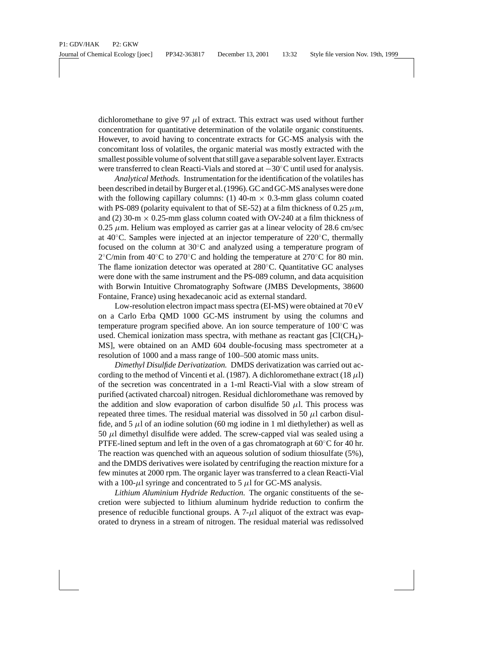dichloromethane to give 97  $\mu$ l of extract. This extract was used without further concentration for quantitative determination of the volatile organic constituents. However, to avoid having to concentrate extracts for GC-MS analysis with the concomitant loss of volatiles, the organic material was mostly extracted with the smallest possible volume of solvent that still gave a separable solvent layer. Extracts were transferred to clean Reacti-Vials and stored at −30◦C until used for analysis.

*Analytical Methods.* Instrumentation for the identification of the volatiles has been described in detail by Burger et al. (1996). GC and GC-MS analyses were done with the following capillary columns: (1)  $40 \text{-m} \times 0.3 \text{-mm}$  glass column coated with PS-089 (polarity equivalent to that of SE-52) at a film thickness of 0.25  $\mu$ m, and (2) 30-m  $\times$  0.25-mm glass column coated with OV-240 at a film thickness of  $0.25 \mu$ m. Helium was employed as carrier gas at a linear velocity of 28.6 cm/sec at 40◦C. Samples were injected at an injector temperature of 220◦C, thermally focused on the column at  $30^{\circ}$ C and analyzed using a temperature program of 2◦C/min from 40◦C to 270◦C and holding the temperature at 270◦C for 80 min. The flame ionization detector was operated at 280◦C. Quantitative GC analyses were done with the same instrument and the PS-089 column, and data acquisition with Borwin Intuitive Chromatography Software (JMBS Developments, 38600 Fontaine, France) using hexadecanoic acid as external standard.

Low-resolution electron impact mass spectra (EI-MS) were obtained at 70 eV on a Carlo Erba QMD 1000 GC-MS instrument by using the columns and temperature program specified above. An ion source temperature of 100◦C was used. Chemical ionization mass spectra, with methane as reactant gas  $\text{[CI(CH4)]}$ -MS], were obtained on an AMD 604 double-focusing mass spectrometer at a resolution of 1000 and a mass range of 100–500 atomic mass units.

*Dimethyl Disulfide Derivatization.* DMDS derivatization was carried out according to the method of Vincenti et al. (1987). A dichloromethane extract (18  $\mu$ I) of the secretion was concentrated in a 1-ml Reacti-Vial with a slow stream of purified (activated charcoal) nitrogen. Residual dichloromethane was removed by the addition and slow evaporation of carbon disulfide 50  $\mu$ l. This process was repeated three times. The residual material was dissolved in 50  $\mu$ l carbon disulfide, and 5  $\mu$ l of an iodine solution (60 mg iodine in 1 ml diethylether) as well as 50  $\mu$ l dimethyl disulfide were added. The screw-capped vial was sealed using a PTFE-lined septum and left in the oven of a gas chromatograph at  $60^{\circ}$ C for 40 hr. The reaction was quenched with an aqueous solution of sodium thiosulfate (5%), and the DMDS derivatives were isolated by centrifuging the reaction mixture for a few minutes at 2000 rpm. The organic layer was transferred to a clean Reacti-Vial with a 100- $\mu$ l syringe and concentrated to 5  $\mu$ l for GC-MS analysis.

*Lithium Aluminium Hydride Reduction.* The organic constituents of the secretion were subjected to lithium aluminum hydride reduction to confirm the presence of reducible functional groups. A  $7-\mu$ l aliquot of the extract was evaporated to dryness in a stream of nitrogen. The residual material was redissolved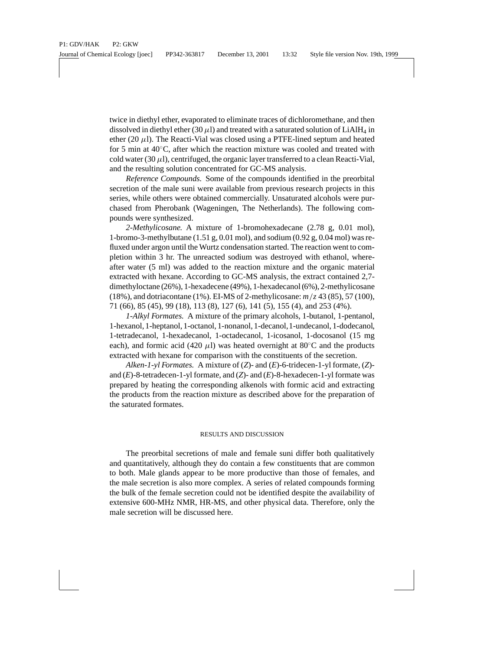twice in diethyl ether, evaporated to eliminate traces of dichloromethane, and then dissolved in diethyl ether (30  $\mu$ l) and treated with a saturated solution of LiAlH<sub>4</sub> in ether (20  $\mu$ l). The Reacti-Vial was closed using a PTFE-lined septum and heated for 5 min at 40◦C, after which the reaction mixture was cooled and treated with cold water (30  $\mu$ l), centrifuged, the organic layer transferred to a clean Reacti-Vial, and the resulting solution concentrated for GC-MS analysis.

*Reference Compounds.* Some of the compounds identified in the preorbital secretion of the male suni were available from previous research projects in this series, while others were obtained commercially. Unsaturated alcohols were purchased from Pherobank (Wageningen, The Netherlands). The following compounds were synthesized.

*2-Methylicosane.* A mixture of 1-bromohexadecane (2.78 g, 0.01 mol), 1-bromo-3-methylbutane (1.51 g, 0.01 mol), and sodium (0.92 g, 0.04 mol) was refluxed under argon until the Wurtz condensation started. The reaction went to completion within 3 hr. The unreacted sodium was destroyed with ethanol, whereafter water (5 ml) was added to the reaction mixture and the organic material extracted with hexane. According to GC-MS analysis, the extract contained 2,7 dimethyloctane (26%), 1-hexadecene (49%), 1-hexadecanol (6%), 2-methylicosane (18%), and dotriacontane (1%). EI-MS of 2-methylicosane: *m*/*z* 43 (85), 57 (100), 71 (66), 85 (45), 99 (18), 113 (8), 127 (6), 141 (5), 155 (4), and 253 (4%).

*1-Alkyl Formates.* A mixture of the primary alcohols, 1-butanol, 1-pentanol, 1-hexanol, 1-heptanol, 1-octanol, 1-nonanol, 1-decanol,1-undecanol, 1-dodecanol, 1-tetradecanol, 1-hexadecanol, 1-octadecanol, 1-icosanol, 1-docosanol (15 mg each), and formic acid (420  $\mu$ l) was heated overnight at 80°C and the products extracted with hexane for comparison with the constituents of the secretion.

*Alken-1-yl Formates.* A mixture of (*Z*)- and (*E*)-6-tridecen-1-yl formate, (*Z*) and (*E*)-8-tetradecen-1-yl formate, and (*Z*)- and (*E*)-8-hexadecen-1-yl formate was prepared by heating the corresponding alkenols with formic acid and extracting the products from the reaction mixture as described above for the preparation of the saturated formates.

## RESULTS AND DISCUSSION

The preorbital secretions of male and female suni differ both qualitatively and quantitatively, although they do contain a few constituents that are common to both. Male glands appear to be more productive than those of females, and the male secretion is also more complex. A series of related compounds forming the bulk of the female secretion could not be identified despite the availability of extensive 600-MHz NMR, HR-MS, and other physical data. Therefore, only the male secretion will be discussed here.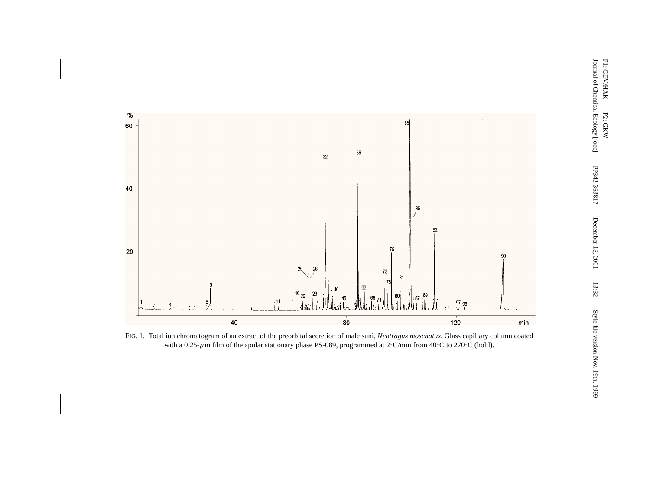

FIG. 1. Total ion chromatogram of an extract of the preorbital secretion of male suni, *Neotragus moschatus*. Glass capillary column coated with a 0.25- $\mu$ m film of the apolar stationary phase PS-089, programmed at 2°C/min from 40°C to 270°C (hold).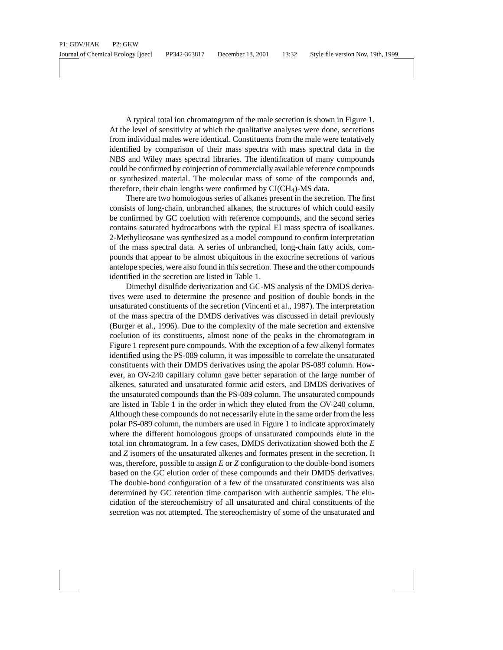A typical total ion chromatogram of the male secretion is shown in Figure 1. At the level of sensitivity at which the qualitative analyses were done, secretions from individual males were identical. Constituents from the male were tentatively identified by comparison of their mass spectra with mass spectral data in the NBS and Wiley mass spectral libraries. The identification of many compounds could be confirmed by coinjection of commercially available reference compounds or synthesized material. The molecular mass of some of the compounds and, therefore, their chain lengths were confirmed by  $CI(CH_4)$ -MS data.

There are two homologous series of alkanes present in the secretion. The first consists of long-chain, unbranched alkanes, the structures of which could easily be confirmed by GC coelution with reference compounds, and the second series contains saturated hydrocarbons with the typical EI mass spectra of isoalkanes. 2-Methylicosane was synthesized as a model compound to confirm interpretation of the mass spectral data. A series of unbranched, long-chain fatty acids, compounds that appear to be almost ubiquitous in the exocrine secretions of various antelope species, were also found in this secretion. These and the other compounds identified in the secretion are listed in Table 1.

Dimethyl disulfide derivatization and GC-MS analysis of the DMDS derivatives were used to determine the presence and position of double bonds in the unsaturated constituents of the secretion (Vincenti et al., 1987). The interpretation of the mass spectra of the DMDS derivatives was discussed in detail previously (Burger et al., 1996). Due to the complexity of the male secretion and extensive coelution of its constituents, almost none of the peaks in the chromatogram in Figure 1 represent pure compounds. With the exception of a few alkenyl formates identified using the PS-089 column, it was impossible to correlate the unsaturated constituents with their DMDS derivatives using the apolar PS-089 column. However, an OV-240 capillary column gave better separation of the large number of alkenes, saturated and unsaturated formic acid esters, and DMDS derivatives of the unsaturated compounds than the PS-089 column. The unsaturated compounds are listed in Table 1 in the order in which they eluted from the OV-240 column. Although these compounds do not necessarily elute in the same order from the less polar PS-089 column, the numbers are used in Figure 1 to indicate approximately where the different homologous groups of unsaturated compounds elute in the total ion chromatogram. In a few cases, DMDS derivatization showed both the *E* and *Z* isomers of the unsaturated alkenes and formates present in the secretion. It was, therefore, possible to assign *E* or *Z* configuration to the double-bond isomers based on the GC elution order of these compounds and their DMDS derivatives. The double-bond configuration of a few of the unsaturated constituents was also determined by GC retention time comparison with authentic samples. The elucidation of the stereochemistry of all unsaturated and chiral constituents of the secretion was not attempted. The stereochemistry of some of the unsaturated and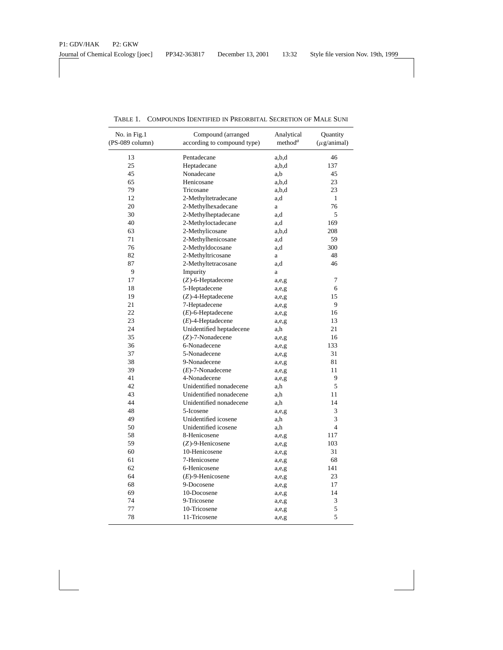| No. in Fig.1<br>(PS-089 column) | Compound (arranged<br>according to compound type) | Analytical<br>method <sup>a</sup> | Quantity<br>$(\mu$ g/animal)<br>46 |  |
|---------------------------------|---------------------------------------------------|-----------------------------------|------------------------------------|--|
| 13                              | Pentadecane                                       | a,b,d                             |                                    |  |
| 25                              | Heptadecane                                       | a,b,d                             | 137                                |  |
| 45                              | Nonadecane                                        | a.b                               | 45                                 |  |
| 65                              | Henicosane                                        | a,b,d                             | 23                                 |  |
| 79                              | Tricosane                                         | a,b,d                             | 23                                 |  |
| 12                              | 2-Methyltetradecane                               | a.d                               | 1                                  |  |
| 20                              | 2-Methylhexadecane                                | a                                 | 76                                 |  |
| 30                              | 2-Methylheptadecane                               | a.d                               | 5                                  |  |
| 40                              | 2-Methyloctadecane                                | a.d                               | 169                                |  |
| 63                              | 2-Methylicosane                                   | a,b,d                             | 208                                |  |
| 71                              | 2-Methylhenicosane                                | a.d                               | 59                                 |  |
| 76                              | 2-Methyldocosane                                  | a,d                               | 300                                |  |
| 82                              | 2-Methyltricosane                                 | $\mathbf{a}$                      | 48                                 |  |
| 87                              | 2-Methyltetracosane                               | a,d                               | 46                                 |  |
| 9                               | Impurity                                          | a                                 |                                    |  |
| 17                              | $(Z)$ -6-Heptadecene                              | a,e,g                             | 7                                  |  |
| 18                              | 5-Heptadecene                                     | a,e,g                             | 6                                  |  |
| 19                              | $(Z)$ -4-Heptadecene                              | a,e,g                             | 15                                 |  |
| 21                              | 7-Heptadecene                                     | a,e,g                             | 9                                  |  |
| 22                              | $(E)$ -6-Heptadecene                              | a,e,g                             | 16                                 |  |
| 23                              | $(E)$ -4-Heptadecene                              | a,e,g                             | 13                                 |  |
| 24                              | Unidentified heptadecene                          | a,h                               | 21                                 |  |
| 35                              | $(Z)$ -7-Nonadecene                               | a,e,g                             | 16                                 |  |
| 36                              | 6-Nonadecene                                      | a,e,g                             | 133                                |  |
| 37                              | 5-Nonadecene                                      | a,e,g                             | 31                                 |  |
| 38                              | 9-Nonadecene                                      | a,e,g                             | 81                                 |  |
| 39                              | $(E)$ -7-Nonadecene                               | a,e,g                             | 11                                 |  |
| 41                              | 4-Nonadecene                                      | a,e,g                             | 9                                  |  |
| 42                              | Unidentified nonadecene                           | a,h                               | 5                                  |  |
| 43                              | Unidentified nonadecene                           | a.h                               | 11                                 |  |
| 44                              | Unidentified nonadecene                           | a.h                               | 14                                 |  |
| 48                              | 5-Icosene                                         | a,e,g                             | 3                                  |  |
| 49                              | Unidentified icosene                              | a.h                               | 3                                  |  |
| 50                              | Unidentified icosene                              | a,h                               | $\overline{4}$                     |  |
| 58                              | 8-Henicosene                                      | a,e,g                             | 117                                |  |
| 59                              | $(Z)$ -9-Henicosene                               | a,e,g                             | 103                                |  |
| 60                              | 10-Henicosene                                     | a,e,g                             | 31                                 |  |
| 61                              | 7-Henicosene                                      | a,e,g                             | 68                                 |  |
| 62                              | 6-Henicosene                                      | a,e,g                             | 141                                |  |
| 64                              | $(E)$ -9-Henicosene                               | a,e,g                             | 23                                 |  |
| 68                              | 9-Docosene                                        | a,e,g                             | 17                                 |  |
| 69                              | 10-Docosene                                       | a,e,g                             | 14                                 |  |
| 74                              | 9-Tricosene                                       | a,e,g                             | 3                                  |  |
| 77                              | 10-Tricosene                                      | a,e,g                             | 5                                  |  |
| 78                              | 11-Tricosene                                      | a,e,g                             | 5                                  |  |
|                                 |                                                   |                                   |                                    |  |

TABLE 1. COMPOUNDS IDENTIFIED IN PREORBITAL SECRETION OF MALE SUNI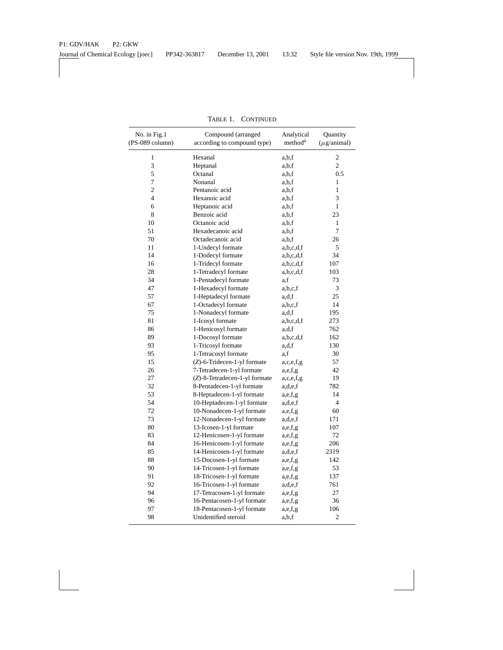| No. in Fig.1<br>(PS-089 column) | Compound (arranged<br>according to compound type) |           | Quantity<br>$(\mu$ g/animal) |  |
|---------------------------------|---------------------------------------------------|-----------|------------------------------|--|
| 1                               | Hexanal                                           | a,b,f     | $\mathbf{2}$                 |  |
| 3                               | Heptanal                                          | a,b,f     | $\overline{2}$               |  |
| 5                               | Octanal                                           | a,b,f     | 0.5                          |  |
| 7                               | Nonanal                                           | a,b,f     | 1                            |  |
| $\overline{2}$                  | Pentanoic acid                                    | a,b,f     | 1                            |  |
| $\overline{4}$                  | Hexanoic acid                                     | a,b,f     | 3                            |  |
| 6                               | Heptanoic acid                                    | a,b,f     | 1                            |  |
| 8                               | Benzoic acid                                      | a,b,f     | 23                           |  |
| 10                              | Octanoic acid                                     | a,b,f     | 1                            |  |
| 51                              | Hexadecanoic acid                                 | a,b,f     | 7                            |  |
| 70                              | Octadecanoic acid                                 | a,b,f     | 26                           |  |
| 11                              | 1-Undecyl formate                                 | a,b,c,d,f | 5                            |  |
| 14                              | 1-Dodecyl formate                                 | a,b,c,d,f | 34                           |  |
| 16                              | 1-Tridecyl formate                                | a,b,c,d,f | 107                          |  |
| 28                              | 1-Tetradecyl formate                              | a,b,c,d,f | 103                          |  |
| 34                              | 1-Pentadecyl formate                              | a,f       | 73                           |  |
| 47                              | 1-Hexadecyl formate                               | a,b,c,f   | 3                            |  |
| 57                              | 1-Heptadecyl formate                              | a,d,f     | 25                           |  |
| 67                              | 1-Octadecyl formate                               | a,b,c,f   | 14                           |  |
| 75                              | 1-Nonadecyl formate                               | a,d,f     | 195                          |  |
| 81                              | 1-Icosyl formate                                  | a,b,c,d,f | 273                          |  |
| 86                              | 1-Henicosyl formate                               | a,d,f     | 762                          |  |
| 89                              | 1-Docosyl formate                                 | a,b,c,d,f | 162                          |  |
| 93                              | 1-Tricosyl formate                                | a,d,f     | 130                          |  |
| 95                              | 1-Tetracosyl formate                              | a,f       | 30                           |  |
| 15                              | (Z)-6-Tridecen-1-yl formate                       | a,c,e,f,g | 57                           |  |
| 26                              | 7-Tetradecen-1-yl formate                         | a,e,f,g   | 42                           |  |
| 27                              | (Z)-8-Tetradecen-1-yl formate                     | a,c,e,f,g | 19                           |  |
| 32                              | 8-Pentadecen-1-yl formate                         | a,d,e,f   | 782                          |  |
| 53                              | 8-Heptadecen-1-yl formate                         | a,e,f,g   | 14                           |  |
| 54                              | 10-Heptadecen-1-yl formate                        | a,d,e,f   | $\overline{4}$               |  |
| 72                              | 10-Nonadecen-1-yl formate                         | a,e,f,g   | 60                           |  |
| 73                              | 12-Nonadecen-1-yl formate                         | a,d,e,f   | 171                          |  |
| 80                              | 13-Icosen-1-yl formate                            | a,e,f,g   | 107                          |  |
| 83                              | 12-Henicosen-1-yl formate                         | a,e,f,g   | 72                           |  |
| 84                              | 16-Henicosen-1-yl formate                         | a,e,f,g   | 206                          |  |
| 85                              | 14-Henicosen-1-yl formate                         | a,d,e,f   | 2319                         |  |
| 88                              | 15-Docosen-1-yl formate                           | a,e,f,g   | 142                          |  |
| 90                              | 14-Tricosen-1-yl formate                          | a,e,f,g   | 53                           |  |
| 91                              | 18-Tricosen-1-yl formate                          | a,e,f,g   | 137                          |  |
| 92                              | 16-Tricosen-1-yl formate                          | a,d,e,f   | 761                          |  |
| 94                              | 17-Tetracosen-1-yl formate                        | a,e,f,g   | 27                           |  |
| 96                              | 16-Pentacosen-1-yl formate                        | a,e,f,g   | 36                           |  |
| 97                              | 18-Pentacosen-1-yl formate                        | a,e,f,g   | 106                          |  |
| 98                              | Unidentified steroid                              | a.b.f     | $\overline{2}$               |  |

TABLE 1. CONTINUED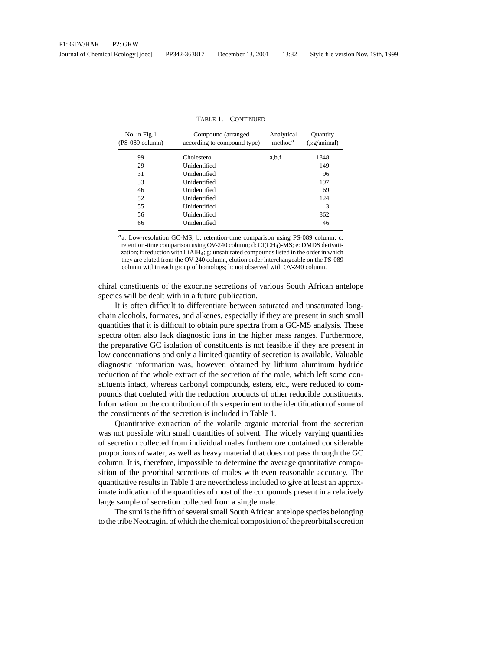| No. in Fig.1<br>$(PS-089 \text{ column})$ | Compound (arranged<br>according to compound type) | Analytical<br>method <sup><math>a</math></sup> | <b>Quantity</b><br>$(\mu$ g/animal) |
|-------------------------------------------|---------------------------------------------------|------------------------------------------------|-------------------------------------|
| 99                                        | Cholesterol                                       | a.b.f                                          | 1848                                |
| 29                                        | Unidentified                                      |                                                | 149                                 |
| 31                                        | Unidentified                                      |                                                | 96                                  |
| 33                                        | Unidentified                                      |                                                | 197                                 |
| 46                                        | Unidentified                                      |                                                | 69                                  |
| 52                                        | Unidentified                                      |                                                | 124                                 |
| 55                                        | Unidentified                                      |                                                | 3                                   |
| 56                                        | Unidentified                                      |                                                | 862                                 |
| 66                                        | Unidentified                                      |                                                | 46                                  |

TABLE 1. CONTINUED

*<sup>a</sup>* a: Low-resolution GC-MS; b: retention-time comparison using PS-089 column; c: retention-time comparison using OV-240 column; d: CI(CH4)-MS; e: DMDS derivatization; f: reduction with LiAlH<sub>4</sub>; g: unsaturated compounds listed in the order in which they are eluted from the OV-240 column, elution order interchangeable on the PS-089 column within each group of homologs; h: not observed with OV-240 column.

chiral constituents of the exocrine secretions of various South African antelope species will be dealt with in a future publication.

It is often difficult to differentiate between saturated and unsaturated longchain alcohols, formates, and alkenes, especially if they are present in such small quantities that it is difficult to obtain pure spectra from a GC-MS analysis. These spectra often also lack diagnostic ions in the higher mass ranges. Furthermore, the preparative GC isolation of constituents is not feasible if they are present in low concentrations and only a limited quantity of secretion is available. Valuable diagnostic information was, however, obtained by lithium aluminum hydride reduction of the whole extract of the secretion of the male, which left some constituents intact, whereas carbonyl compounds, esters, etc., were reduced to compounds that coeluted with the reduction products of other reducible constituents. Information on the contribution of this experiment to the identification of some of the constituents of the secretion is included in Table 1.

Quantitative extraction of the volatile organic material from the secretion was not possible with small quantities of solvent. The widely varying quantities of secretion collected from individual males furthermore contained considerable proportions of water, as well as heavy material that does not pass through the GC column. It is, therefore, impossible to determine the average quantitative composition of the preorbital secretions of males with even reasonable accuracy. The quantitative results in Table 1 are nevertheless included to give at least an approximate indication of the quantities of most of the compounds present in a relatively large sample of secretion collected from a single male.

The suni is the fifth of several small South African antelope species belonging to the tribe Neotragini of which the chemical composition of the preorbital secretion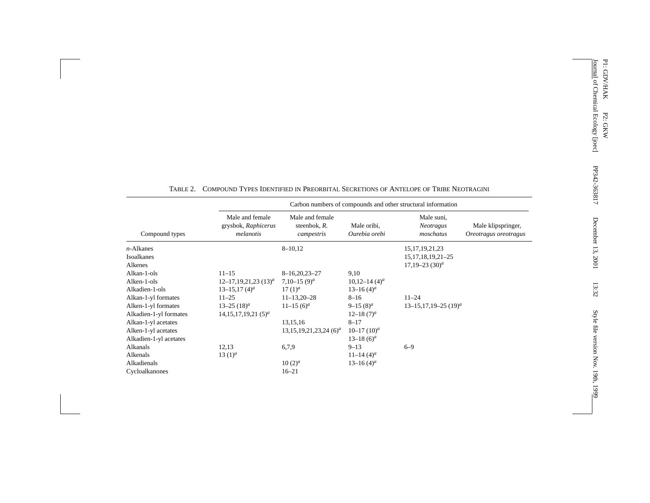|                        | Carbon numbers of compounds and other structural information                                            |                                      |                              |                                             |                                             |
|------------------------|---------------------------------------------------------------------------------------------------------|--------------------------------------|------------------------------|---------------------------------------------|---------------------------------------------|
| Compound types         | Male and female<br>Male and female<br>grysbok, Raphicerus<br>steenbok, $R$ .<br>melanotis<br>campestris |                                      | Male oribi,<br>Ourebia orebi | Male suni,<br><b>Neotragus</b><br>moschatus | Male klipspringer,<br>Oreotragus oreotragus |
| $n$ -Alkanes           |                                                                                                         | $8 - 10,12$                          |                              | 15, 17, 19, 21, 23                          |                                             |
| Isoalkanes             |                                                                                                         |                                      |                              | 15, 17, 18, 19, 21 - 25                     |                                             |
| Alkenes                |                                                                                                         |                                      |                              | $17,19-23$ $(30)^a$                         |                                             |
| Alkan-1-ols            | $11 - 15$                                                                                               | $8 - 16, 20, 23 - 27$                | 9,10                         |                                             |                                             |
| Alken-1-ols            | $12-17, 19, 21, 23$ $(13)^a$                                                                            | $7,10-15(9)^a$                       | $10,12-14$ (4) <sup>a</sup>  |                                             |                                             |
| Alkadien-1-ols         | $13-15,17(4)^a$                                                                                         | $17(1)^{a}$                          | $13-16$ (4) <sup>a</sup>     |                                             |                                             |
| Alkan-1-yl formates    | $11 - 25$                                                                                               | $11 - 13,20 - 28$                    | $8 - 16$                     | $11 - 24$                                   |                                             |
| Alken-1-yl formates    | $13-25$ $(18)^a$                                                                                        | $11-15(6)^a$                         | $9-15(8)^a$                  | $13-15,17,19-25$ $(19)^a$                   |                                             |
| Alkadien-1-yl formates | $14,15,17,19,21(5)^a$                                                                                   |                                      | $12-18$ $(7)^a$              |                                             |                                             |
| Alkan-1-yl acetates    |                                                                                                         | 13, 15, 16                           | $8 - 17$                     |                                             |                                             |
| Alken-1-yl acetates    |                                                                                                         | $13,15,19,21,23,24$ (6) <sup>a</sup> | $10-17$ $(10)^a$             |                                             |                                             |
| Alkadien-1-yl acetates |                                                                                                         |                                      | $13-18(6)^a$                 |                                             |                                             |
| Alkanals               | 12,13                                                                                                   | 6,7,9                                | $9 - 13$                     | $6 - 9$                                     |                                             |
| Alkenals               | $13(1)^a$                                                                                               |                                      | $11-14$ $(4)^a$              |                                             |                                             |
| Alkadienals            |                                                                                                         | $10(2)^{a}$                          | $13-16$ (4) <sup>a</sup>     |                                             |                                             |
| Cycloalkanones         |                                                                                                         | $16 - 21$                            |                              |                                             |                                             |

#### TABLE 2. COMPOUND TYPES IDENTIFIED IN PREORBITAL SECRETIONS OF ANTELOPE OF TRIBE NEOTRAGINI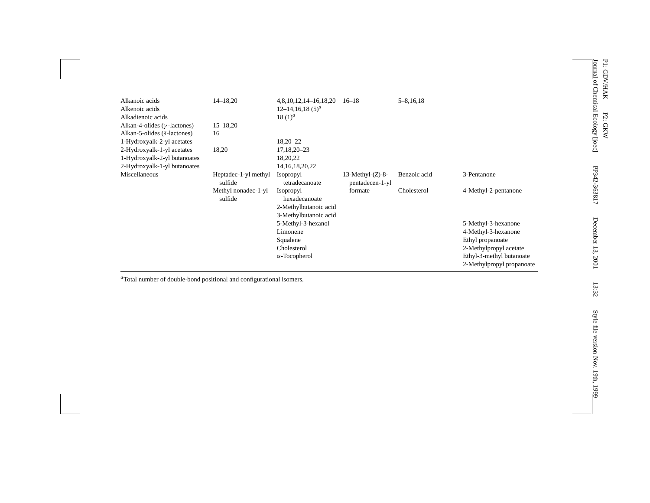| Alkanoic acids<br>Alkenoic acids<br>Alkadienoic acids | $14 - 18,20$                    | 4,8,10,12,14–16,18,20<br>$12-14,16,18(5)^a$<br>$18(1)^{a}$                          | $16 - 18$                                  | $5 - 8, 16, 18$ |                           |
|-------------------------------------------------------|---------------------------------|-------------------------------------------------------------------------------------|--------------------------------------------|-----------------|---------------------------|
| Alkan-4-olides ( $\gamma$ -lactones)                  | $15 - 18,20$                    |                                                                                     |                                            |                 |                           |
| Alkan-5-olides ( $\delta$ -lactones)                  | 16                              |                                                                                     |                                            |                 |                           |
| 1-Hydroxyalk-2-yl acetates                            |                                 | 18,20-22                                                                            |                                            |                 |                           |
| 2-Hydroxyalk-1-yl acetates                            | 18,20                           | 17, 18, 20 - 23                                                                     |                                            |                 |                           |
| 1-Hydroxyalk-2-yl butanoates                          |                                 | 18,20,22                                                                            |                                            |                 |                           |
| 2-Hydroxyalk-1-yl butanoates                          |                                 | 14, 16, 18, 20, 22                                                                  |                                            |                 |                           |
| Miscellaneous                                         | Heptadec-1-yl methyl<br>sulfide | <b>Isopropyl</b><br>tetradecanoate                                                  | $13$ -Methyl- $(Z)$ -8-<br>pentadecen-1-yl | Benzoic acid    | 3-Pentanone               |
|                                                       | Methyl nonadec-1-yl<br>sulfide  | <i>Isopropyl</i><br>hexadecanoate<br>2-Methylbutanoic acid<br>3-Methylbutanoic acid | formate                                    | Cholesterol     | 4-Methyl-2-pentanone      |
|                                                       |                                 | 5-Methyl-3-hexanol                                                                  |                                            |                 | 5-Methyl-3-hexanone       |
|                                                       |                                 | Limonene                                                                            |                                            |                 | 4-Methyl-3-hexanone       |
|                                                       |                                 | Squalene                                                                            |                                            |                 | Ethyl propanoate          |
|                                                       |                                 | Cholesterol                                                                         |                                            |                 | 2-Methylpropyl acetate    |
|                                                       |                                 | $\alpha$ -Tocopherol                                                                |                                            |                 | Ethyl-3-methyl butanoate  |
|                                                       |                                 |                                                                                     |                                            |                 | 2-Methylpropyl propanoate |

*<sup>a</sup>*Total number of double-bond positional and configurational isomers.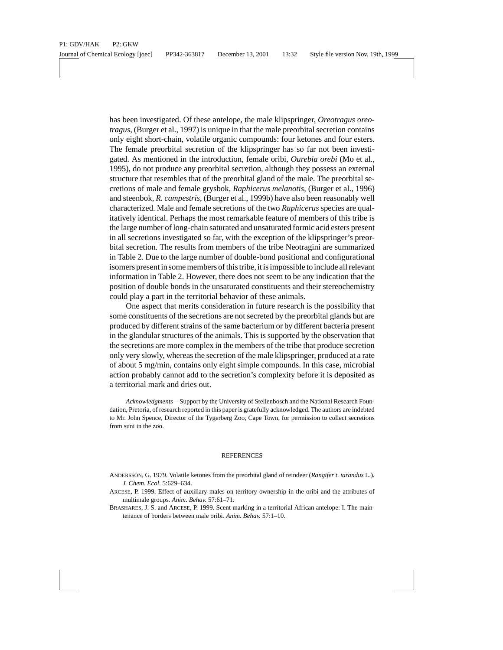has been investigated. Of these antelope, the male klipspringer, *Oreotragus oreotragus*, (Burger et al., 1997) is unique in that the male preorbital secretion contains only eight short-chain, volatile organic compounds: four ketones and four esters. The female preorbital secretion of the klipspringer has so far not been investigated. As mentioned in the introduction, female oribi, *Ourebia orebi* (Mo et al., 1995), do not produce any preorbital secretion, although they possess an external structure that resembles that of the preorbital gland of the male. The preorbital secretions of male and female grysbok, *Raphicerus melanotis*, (Burger et al., 1996) and steenbok, *R. campestris*, (Burger et al., 1999b) have also been reasonably well characterized. Male and female secretions of the two *Raphicerus* species are qualitatively identical. Perhaps the most remarkable feature of members of this tribe is the large number of long-chain saturated and unsaturated formic acid esters present in all secretions investigated so far, with the exception of the klipspringer's preorbital secretion. The results from members of the tribe Neotragini are summarized in Table 2. Due to the large number of double-bond positional and configurational isomers present in some members of this tribe, it is impossible to include all relevant information in Table 2. However, there does not seem to be any indication that the position of double bonds in the unsaturated constituents and their stereochemistry could play a part in the territorial behavior of these animals.

One aspect that merits consideration in future research is the possibility that some constituents of the secretions are not secreted by the preorbital glands but are produced by different strains of the same bacterium or by different bacteria present in the glandular structures of the animals. This is supported by the observation that the secretions are more complex in the members of the tribe that produce secretion only very slowly, whereas the secretion of the male klipspringer, produced at a rate of about 5 mg/min, contains only eight simple compounds. In this case, microbial action probably cannot add to the secretion's complexity before it is deposited as a territorial mark and dries out.

*Acknowledgments*—Support by the University of Stellenbosch and the National Research Foundation, Pretoria, of research reported in this paper is gratefully acknowledged. The authors are indebted to Mr. John Spence, Director of the Tygerberg Zoo, Cape Town, for permission to collect secretions from suni in the zoo.

## **REFERENCES**

ANDERSSON, G. 1979. Volatile ketones from the preorbital gland of reindeer (*Rangifer t. tarandus* L.). *J. Chem. Ecol*. 5:629–634.

ARCESE, P. 1999. Effect of auxiliary males on territory ownership in the oribi and the attributes of multimale groups. *Anim. Behav.* 57:61–71.

BRASHARES, J. S. and ARCESE, P. 1999. Scent marking in a territorial African antelope: I. The maintenance of borders between male oribi. *Anim. Behav.* 57:1–10.